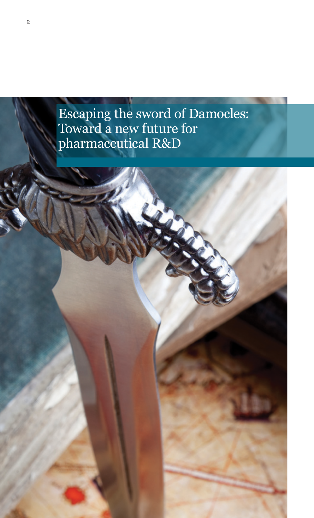# Escaping the sword of Damocles: Toward a new future for pharmaceutical R&D

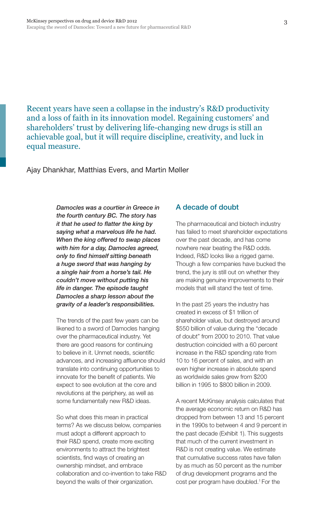Recent years have seen a collapse in the industry's R&D productivity and a loss of faith in its innovation model. Regaining customers' and shareholders' trust by delivering life-changing new drugs is still an achievable goal, but it will require discipline, creativity, and luck in equal measure.

Ajay Dhankhar, Matthias Evers, and Martin Møller

*Damocles was a courtier in Greece in the fourth century BC. The story has it that he used to flatter the king by saying what a marvelous life he had. When the king offered to swap places with him for a day, Damocles agreed, only to find himself sitting beneath a huge sword that was hanging by a single hair from a horse's tail. He couldn't move without putting his life in danger. The episode taught Damocles a sharp lesson about the gravity of a leader's responsibilities.* 

The trends of the past few years can be likened to a sword of Damocles hanging over the pharmaceutical industry. Yet there are good reasons for continuing to believe in it. Unmet needs, scientific advances, and increasing affluence should translate into continuing opportunities to innovate for the benefit of patients. We expect to see evolution at the core and revolutions at the periphery, as well as some fundamentally new R&D ideas.

So what does this mean in practical terms? As we discuss below, companies must adopt a different approach to their R&D spend, create more exciting environments to attract the brightest scientists, find ways of creating an ownership mindset, and embrace collaboration and co-invention to take R&D beyond the walls of their organization.

#### A decade of doubt

The pharmaceutical and biotech industry has failed to meet shareholder expectations over the past decade, and has come nowhere near beating the R&D odds. Indeed, R&D looks like a rigged game. Though a few companies have bucked the trend, the jury is still out on whether they are making genuine improvements to their models that will stand the test of time.

In the past 25 years the industry has created in excess of \$1 trillion of shareholder value, but destroyed around \$550 billion of value during the "decade of doubt" from 2000 to 2010. That value destruction coincided with a 60 percent increase in the R&D spending rate from 10 to 16 percent of sales, and with an even higher increase in absolute spend as worldwide sales grew from \$200 billion in 1995 to \$800 billion in 2009.

A recent McKinsey analysis calculates that the average economic return on R&D has dropped from between 13 and 15 percent in the 1990s to between 4 and 9 percent in the past decade (Exhibit 1). This suggests that much of the current investment in R&D is not creating value. We estimate that cumulative success rates have fallen by as much as 50 percent as the number of drug development programs and the cost per program have doubled.1 For the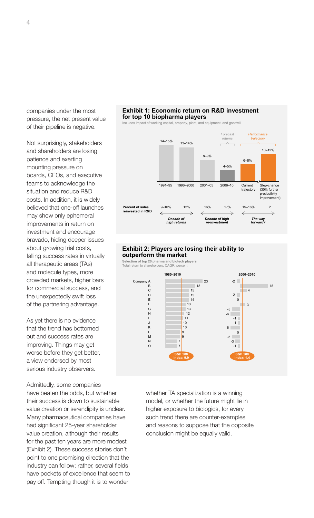companies under the most pressure, the net present value of their pipeline is negative.

Not surprisingly, stakeholders and shareholders are losing patience and exerting mounting pressure on boards, CEOs, and executive teams to acknowledge the situation and reduce R&D costs. In addition, it is widely believed that one-off launches may show only ephemeral improvements in return on investment and encourage bravado, hiding deeper issues about growing trial costs, falling success rates in virtually all therapeutic areas (TAs) and molecule types, more crowded markets, higher bars for commercial success, and the unexpectedly swift loss of the partnering advantage.

As yet there is no evidence that the trend has bottomed out and success rates are improving. Things may get worse before they get better, a view endorsed by most serious industry observers.

Admittedly, some companies have beaten the odds, but whether their success is down to sustainable value creation or serendipity is unclear. Many pharmaceutical companies have had significant 25-year shareholder value creation, although their results for the past ten years are more modest (Exhibit 2). These success stories don't point to one promising direction that the industry can follow; rather, several fields have pockets of excellence that seem to pay off. Tempting though it is to wonder

# **Exhibit 1: Economic return on R&D investment for top 10 biopharma players**

and equipment, and goodwill



#### **Exhibit 2: Players are losing their ability to outperform the market**

**Selection of top 20 pharma and biotech players** Total return to shareholders, CAGR, percent



whether TA specialization is a winning model, or whether the future might lie in higher exposure to biologics, for every such trend there are counter-examples and reasons to suppose that the opposite conclusion might be equally valid.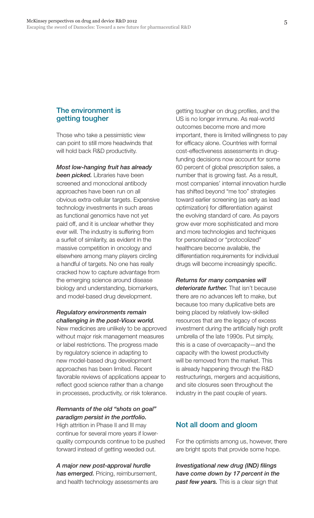#### The environment is getting tougher

Those who take a pessimistic view can point to still more headwinds that will hold back R&D productivity.

*Most low-hanging fruit has already been picked.* Libraries have been screened and monoclonal antibody approaches have been run on all obvious extra-cellular targets. Expensive technology investments in such areas as functional genomics have not yet paid off, and it is unclear whether they ever will. The industry is suffering from a surfeit of similarity, as evident in the massive competition in oncology and elsewhere among many players circling a handful of targets. No one has really cracked how to capture advantage from the emerging science around disease biology and understanding, biomarkers, and model-based drug development.

#### *Regulatory environments remain challenging in the post-Vioxx world.*

New medicines are unlikely to be approved without major risk management measures or label restrictions. The progress made by regulatory science in adapting to new model-based drug development approaches has been limited. Recent favorable reviews of applications appear to reflect good science rather than a change in processes, productivity, or risk tolerance.

#### *Remnants of the old "shots on goal" paradigm persist in the portfolio.*

High attrition in Phase II and III may continue for several more years if lowerquality compounds continue to be pushed forward instead of getting weeded out.

*A major new post-approval hurdle has emerged.* Pricing, reimbursement, and health technology assessments are getting tougher on drug profiles, and the US is no longer immune. As real-world outcomes become more and more important, there is limited willingness to pay for efficacy alone. Countries with formal cost-effectiveness assessments in drugfunding decisions now account for some 60 percent of global prescription sales, a number that is growing fast. As a result, most companies' internal innovation hurdle has shifted beyond "me too" strategies toward earlier screening (as early as lead optimization) for differentiation against the evolving standard of care. As payors grow ever more sophisticated and more and more technologies and techniques for personalized or "protocolized" healthcare become available, the differentiation requirements for individual drugs will become increasingly specific.

*Returns for many companies will deteriorate further.* That isn't because there are no advances left to make, but because too many duplicative bets are being placed by relatively low-skilled resources that are the legacy of excess investment during the artificially high profit umbrella of the late 1990s. Put simply, this is a case of overcapacity—and the capacity with the lowest productivity will be removed from the market. This is already happening through the R&D restructurings, mergers and acquisitions, and site closures seen throughout the industry in the past couple of years.

# Not all doom and gloom

For the optimists among us, however, there are bright spots that provide some hope.

*Investigational new drug (IND) filings have come down by 17 percent in the past few years.* This is a clear sign that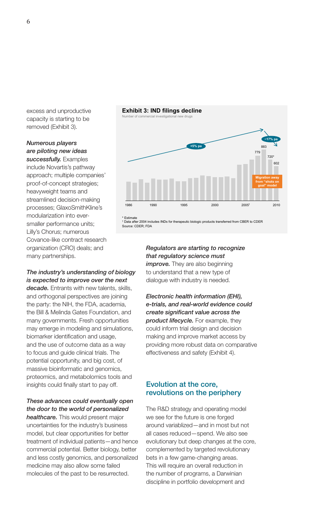excess and unproductive capacity is starting to be removed (Exhibit 3).

# *Numerous players are piloting new ideas*

*successfully.* Examples include Novartis's pathway approach; multiple companies' proof-of-concept strategies; heavyweight teams and streamlined decision-making processes; GlaxoSmithKline's modularization into eversmaller performance units; Lilly's Chorus; numerous Covance-like contract research organization (CRO) deals; and many partnerships.

#### *The industry's understanding of biology is expected to improve over the next*

*decade.* Entrants with new talents, skills, and orthogonal perspectives are joining the party: the NIH, the FDA, academia, the Bill & Melinda Gates Foundation, and many governments. Fresh opportunities may emerge in modeling and simulations, biomarker identification and usage, and the use of outcome data as a way to focus and guide clinical trials. The potential opportunity, and big cost, of massive bioinformatic and genomics, proteomics, and metabolomics tools and insights could finally start to pay off.

# *These advances could eventually open the door to the world of personalized*

*healthcare.* This would present major uncertainties for the industry's business model, but clear opportunities for better treatment of individual patients—and hence commercial potential. Better biology, better and less costly genomics, and personalized medicine may also allow some failed molecules of the past to be resurrected.



\* Estimate

Source: CDER; FDA † Data after 2004 includes INDs for therapeutic biologic products transferred from CBER to CDER

> *Regulators are starting to recognize that regulatory science must improve.* They are also beginning to understand that a new type of dialogue with industry is needed.

#### *Electronic health information (EHI), e-trials, and real-world evidence could create significant value across the product lifecycle.* For example, they could inform trial design and decision making and improve market access by providing more robust data on comparative effectiveness and safety (Exhibit 4).

# Evolution at the core, revolutions on the periphery

The R&D strategy and operating model we see for the future is one forged around variablized—and in most but not all cases reduced—spend. We also see evolutionary but deep changes at the core, complemented by targeted revolutionary bets in a few game-changing areas. This will require an overall reduction in the number of programs, a Darwinian discipline in portfolio development and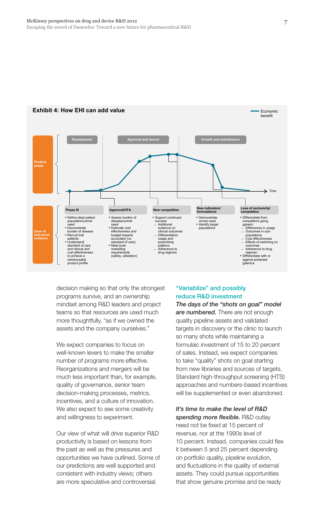

#### **Exhibit 4: How EHI can add value** Equation **Contract Contract Contract Contract Contract Contract Contract Contract Contract Contract Contract Contract Contract Contract Contract Contract Contract Contract Contract Contra**

decision making so that only the strongest programs survive, and an ownership mindset among R&D leaders and project teams so that resources are used much more thoughtfully, "as if we owned the assets and the company ourselves."

We expect companies to focus on well-known levers to make the smaller number of programs more effective. Reorganizations and mergers will be much less important than, for example, quality of governance, senior team decision-making processes, metrics, incentives, and a culture of innovation. We also expect to see some creativity and willingness to experiment.

Our view of what will drive superior R&D productivity is based on lessons from the past as well as the pressures and opportunities we have outlined. Some of our predictions are well supported and consistent with industry views; others are more speculative and controversial.

#### "Variablize" and possibly reduce R&D investment

*The days of the "shots on goal" model are numbered.* There are not enough quality pipeline assets and validated targets in discovery or the clinic to launch so many shots while maintaining a formulaic investment of 15 to 20 percent of sales. Instead, we expect companies to take "quality" shots on goal starting from new libraries and sources of targets. Standard high-throughput screening (HTS) approaches and numbers-based incentives will be supplemented or even abandoned.

## *It's time to make the level of R&D*

*spending more flexible.* R&D outlay need not be fixed at 15 percent of revenue, nor at the 1990s level of 10 percent. Instead, companies could flex it between 5 and 25 percent depending on portfolio quality, pipeline evolution, and fluctuations in the quality of external assets. They could pursue opportunities that show genuine promise and be ready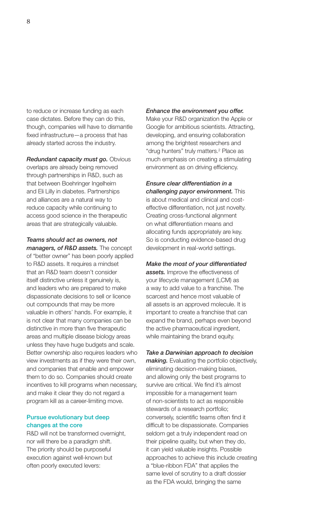to reduce or increase funding as each case dictates. Before they can do this, though, companies will have to dismantle fixed infrastructure—a process that has already started across the industry.

*Redundant capacity must go.* Obvious overlaps are already being removed through partnerships in R&D, such as that between Boehringer Ingelheim and Eli Lilly in diabetes. Partnerships and alliances are a natural way to reduce capacity while continuing to access good science in the therapeutic areas that are strategically valuable.

*Teams should act as owners, not managers, of R&D assets.* The concept of "better owner" has been poorly applied to R&D assets. It requires a mindset that an R&D team doesn't consider itself distinctive unless it genuinely is, and leaders who are prepared to make dispassionate decisions to sell or licence out compounds that may be more valuable in others' hands. For example, it is not clear that many companies can be distinctive in more than five therapeutic areas and multiple disease biology areas unless they have huge budgets and scale. Better ownership also requires leaders who view investments as if they were their own, and companies that enable and empower them to do so. Companies should create incentives to kill programs when necessary, and make it clear they do not regard a program kill as a career-limiting move.

#### Pursue evolutionary but deep changes at the core

R&D will not be transformed overnight, nor will there be a paradigm shift. The priority should be purposeful execution against well-known but often poorly executed levers:

#### *Enhance the environment you offer.*

Make your R&D organization the Apple or Google for ambitious scientists. Attracting, developing, and ensuring collaboration among the brightest researchers and "drug hunters" truly matters.<sup>2</sup> Place as much emphasis on creating a stimulating environment as on driving efficiency.

*Ensure clear differentiation in a challenging payor environment.* This is about medical and clinical and costeffective differentiation, not just novelty. Creating cross-functional alignment on what differentiation means and allocating funds appropriately are key. So is conducting evidence-based drug development in real-world settings.

*Make the most of your differentiated assets.* Improve the effectiveness of your lifecycle management (LCM) as a way to add value to a franchise. The scarcest and hence most valuable of all assets is an approved molecule. It is important to create a franchise that can expand the brand, perhaps even beyond the active pharmaceutical ingredient, while maintaining the brand equity.

# *Take a Darwinian approach to decision*

*making.* Evaluating the portfolio objectively, eliminating decision-making biases, and allowing only the best programs to survive are critical. We find it's almost impossible for a management team of non-scientists to act as responsible stewards of a research portfolio; conversely, scientific teams often find it difficult to be dispassionate. Companies seldom get a truly independent read on their pipeline quality, but when they do, it can yield valuable insights. Possible approaches to achieve this include creating a "blue-ribbon FDA" that applies the same level of scrutiny to a draft dossier as the FDA would, bringing the same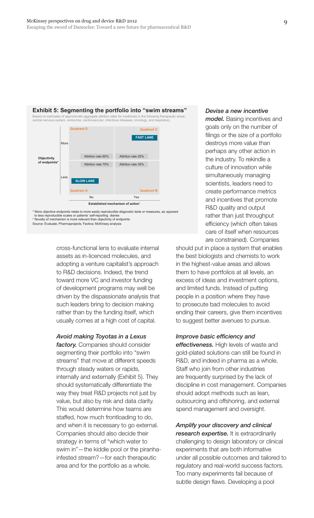

\* More objective endpoints relate to more easily reproducible diagnostic tests or measures, as opposed<br>· to less reproducible scales or patients` self-reporting diaries<br>\* Novelty of mechanism is more relevant than objecti Source: Evaluate; Pharmaprojects; Factiva; McKinsey analysis

> cross-functional lens to evaluate internal assets as in-licenced molecules, and adopting a venture capitalist's approach to R&D decisions. Indeed, the trend toward more VC and investor funding of development programs may well be driven by the dispassionate analysis that such leaders bring to decision making rather than by the funding itself, which usually comes at a high cost of capital.

#### *Avoid making Toyotas in a Lexus*

*factory.* Companies should consider segmenting their portfolio into "swim streams" that move at different speeds through steady waters or rapids, internally and externally (Exhibit 5). They should systematically differentiate the way they treat R&D projects not just by value, but also by risk and data clarity. This would determine how teams are staffed, how much frontloading to do, and when it is necessary to go external. Companies should also decide their strategy in terms of "which water to swim in"—the kiddie pool or the piranhainfested stream?—for each therapeutic area and for the portfolio as a whole.

#### *Devise a new incentive*

*model.* Basing incentives and goals only on the number of filings or the size of a portfolio destroys more value than perhaps any other action in the industry. To rekindle a culture of innovation while simultaneously managing scientists, leaders need to create performance metrics and incentives that promote R&D quality and output rather than just throughput efficiency (which often takes care of itself when resources are constrained). Companies

should put in place a system that enables the best biologists and chemists to work in the highest-value areas and allows them to have portfolios at all levels, an excess of ideas and investment options, and limited funds. Instead of putting people in a position where they have to prosecute bad molecules to avoid ending their careers, give them incentives to suggest better avenues to pursue.

#### *Improve basic efficiency and*

*effectiveness.* High levels of waste and gold-plated solutions can still be found in R&D, and indeed in pharma as a whole. Staff who join from other industries are frequently surprised by the lack of discipline in cost management. Companies should adopt methods such as lean, outsourcing and offshoring, and external spend management and oversight.

*Amplify your discovery and clinical research expertise.* It is extraordinarily challenging to design laboratory or clinical experiments that are both informative under all possible outcomes and tailored to regulatory and real-world success factors. Too many experiments fail because of subtle design flaws. Developing a pool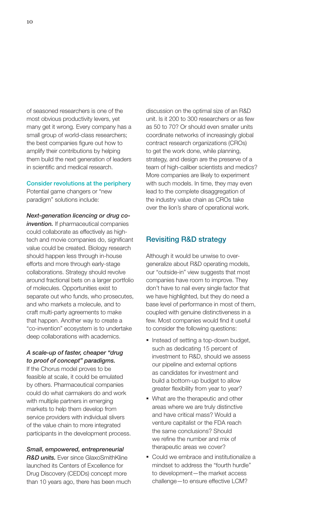of seasoned researchers is one of the most obvious productivity levers, yet many get it wrong. Every company has a small group of world-class researchers; the best companies figure out how to amplify their contributions by helping them build the next generation of leaders in scientific and medical research.

#### Consider revolutions at the periphery

Potential game changers or "new paradigm" solutions include:

*Next-generation licencing or drug co***invention.** If pharmaceutical companies could collaborate as effectively as hightech and movie companies do, significant value could be created. Biology research should happen less through in-house efforts and more through early-stage collaborations. Strategy should revolve around fractional bets on a larger portfolio of molecules. Opportunities exist to separate out who funds, who prosecutes, and who markets a molecule, and to craft multi-party agreements to make that happen. Another way to create a "co-invention" ecosystem is to undertake deep collaborations with academics.

#### *A scale-up of faster, cheaper "drug to proof of concept" paradigms.*

If the Chorus model proves to be feasible at scale, it could be emulated by others. Pharmaceutical companies could do what carmakers do and work with multiple partners in emerging markets to help them develop from service providers with individual slivers of the value chain to more integrated participants in the development process.

*Small, empowered, entrepreneurial R&D units.* Ever since GlaxoSmithKline launched its Centers of Excellence for Drug Discovery (CEDDs) concept more than 10 years ago, there has been much discussion on the optimal size of an R&D unit. Is it 200 to 300 researchers or as few as 50 to 70? Or should even smaller units coordinate networks of increasingly global contract research organizations (CROs) to get the work done, while planning, strategy, and design are the preserve of a team of high-caliber scientists and medics? More companies are likely to experiment with such models. In time, they may even lead to the complete disaggregation of the industry value chain as CROs take over the lion's share of operational work.

### Revisiting R&D strategy

Although it would be unwise to overgeneralize about R&D operating models, our "outside-in" view suggests that most companies have room to improve. They don't have to nail every single factor that we have highlighted, but they do need a base level of performance in most of them, coupled with genuine distinctiveness in a few. Most companies would find it useful to consider the following questions:

- Instead of setting a top-down budget, such as dedicating 15 percent of investment to R&D, should we assess our pipeline and external options as candidates for investment and build a bottom-up budget to allow greater flexibility from year to year?
- **What are the therapeutic and other** areas where we are truly distinctive and have critical mass? Would a venture capitalist or the FDA reach the same conclusions? Should we refine the number and mix of therapeutic areas we cover?
- **Could we embrace and institutionalize a** mindset to address the "fourth hurdle" to development—the market access challenge—to ensure effective LCM?